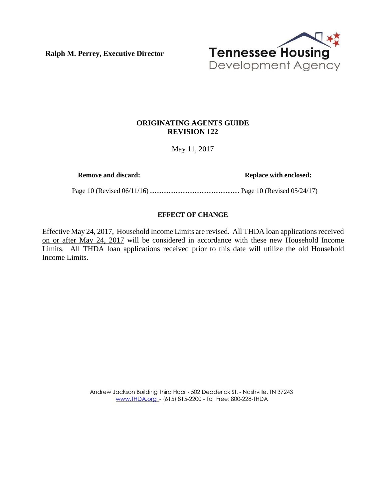**Ralph M. Perrey, Executive Director**



## **ORIGINATING AGENTS GUIDE REVISION 122**

May 11, 2017

**Remove and discard:** Replace with enclosed:

Page 10 (Revised 06/11/16) .................................................... Page 10 (Revised 05/24/17)

## **EFFECT OF CHANGE**

Effective May 24, 2017, Household Income Limits are revised. All THDA loan applications received on or after May 24, 2017 will be considered in accordance with these new Household Income Limits. All THDA loan applications received prior to this date will utilize the old Household Income Limits.

> Andrew Jackson Building Third Floor - 502 Deaderick St. - Nashville, TN 37243 [www.THDA.org](http://www.thda.org/) - (615) 815-2200 - Toll Free: 800-228-THDA